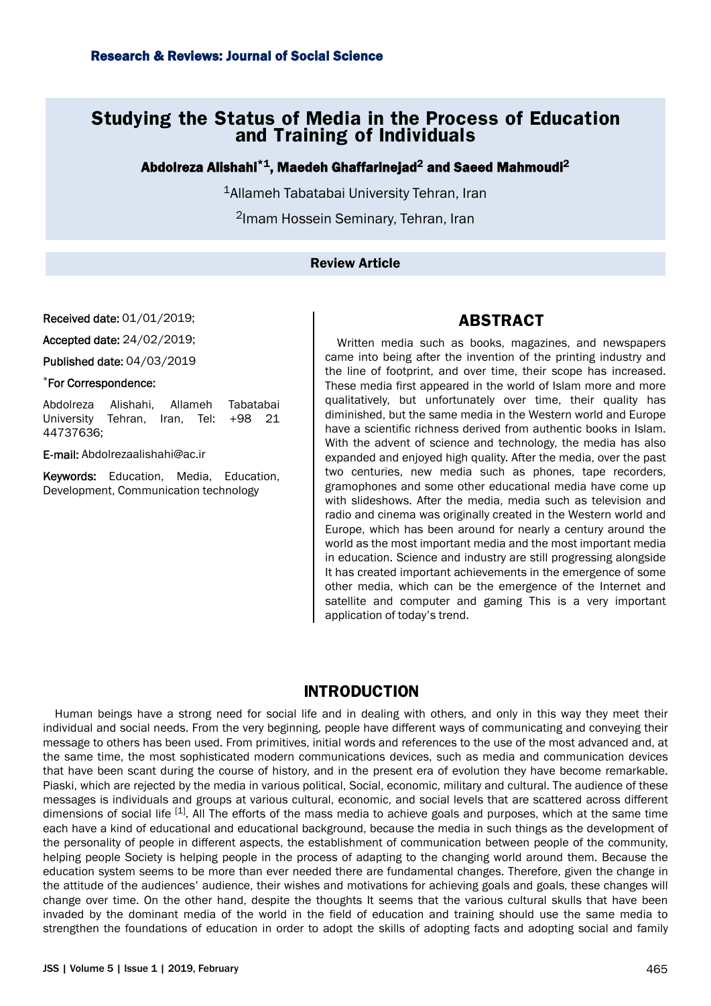# **Studying the Status of Media in the Process of Education and Training of Individuals**

Abdolreza Alishahi $^{\ast}{}^{1}$ , Maedeh Ghaffarinejad $^{2}$  and Saeed Mahmoudi $^{2}$ 

<sup>1</sup>Allameh Tabatabai University Tehran, Iran

<sup>2</sup>Imam Hossein Seminary, Tehran, Iran

### Review Article

Received date: 01/01/2019;

Accepted date: 24/02/2019;

Published date: 04/03/2019

#### \*For Correspondence:

Abdolreza Alishahi, Allameh Tabatabai University Tehran, Iran, Tel: +98 21 44737636;

E-mail: [Abdolrezaalishahi@ac.ir](mailto:Abdolrezaalishahi@ac.ir)

Keywords: Education, Media, Education, Development, Communication technology

## **ABSTRACT**

Written media such as books, magazines, and newspapers came into being after the invention of the printing industry and the line of footprint, and over time, their scope has increased. These media first appeared in the world of Islam more and more qualitatively, but unfortunately over time, their quality has diminished, but the same media in the Western world and Europe have a scientific richness derived from authentic books in Islam. With the advent of science and technology, the media has also expanded and enjoyed high quality. After the media, over the past two centuries, new media such as phones, tape recorders, gramophones and some other educational media have come up with slideshows. After the media, media such as television and radio and cinema was originally created in the Western world and Europe, which has been around for nearly a century around the world as the most important media and the most important media in education. Science and industry are still progressing alongside It has created important achievements in the emergence of some other media, which can be the emergence of the Internet and satellite and computer and gaming This is a very important application of today's trend.

# **INTRODUCTION**

Human beings have a strong need for social life and in dealing with others, and only in this way they meet their individual and social needs. From the very beginning, people have different ways of communicating and conveying their message to others has been used. From primitives, initial words and references to the use of the most advanced and, at the same time, the most sophisticated modern communications devices, such as media and communication devices that have been scant during the course of history, and in the present era of evolution they have become remarkable. Piaski, which are rejected by the media in various political, Social, economic, military and cultural. The audience of these messages is individuals and groups at various cultural, economic, and social levels that are scattered across different dimensions of social life  $^{[1]}$ . All The efforts of the mass media to achieve goals and purposes, which at the same time each have a kind of educational and educational background, because the media in such things as the development of the personality of people in different aspects, the establishment of communication between people of the community, helping people Society is helping people in the process of adapting to the changing world around them. Because the education system seems to be more than ever needed there are fundamental changes. Therefore, given the change in the attitude of the audiences' audience, their wishes and motivations for achieving goals and goals, these changes will change over time. On the other hand, despite the thoughts It seems that the various cultural skulls that have been invaded by the dominant media of the world in the field of education and training should use the same media to strengthen the foundations of education in order to adopt the skills of adopting facts and adopting social and family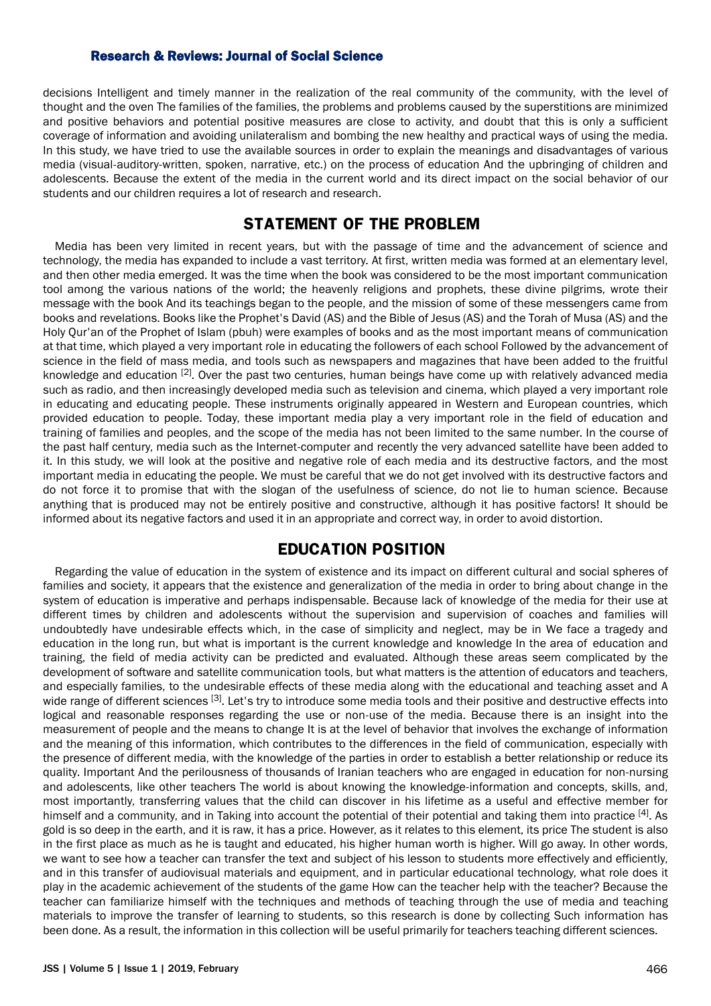decisions Intelligent and timely manner in the realization of the real community of the community, with the level of thought and the oven The families of the families, the problems and problems caused by the superstitions are minimized and positive behaviors and potential positive measures are close to activity, and doubt that this is only a sufficient coverage of information and avoiding unilateralism and bombing the new healthy and practical ways of using the media. In this study, we have tried to use the available sources in order to explain the meanings and disadvantages of various media (visual-auditory-written, spoken, narrative, etc.) on the process of education And the upbringing of children and adolescents. Because the extent of the media in the current world and its direct impact on the social behavior of our students and our children requires a lot of research and research.

# **STATEMENT OF THE PROBLEM**

Media has been very limited in recent years, but with the passage of time and the advancement of science and technology, the media has expanded to include a vast territory. At first, written media was formed at an elementary level, and then other media emerged. It was the time when the book was considered to be the most important communication tool among the various nations of the world; the heavenly religions and prophets, these divine pilgrims, wrote their message with the book And its teachings began to the people, and the mission of some of these messengers came from books and revelations. Books like the Prophet's David (AS) and the Bible of Jesus (AS) and the Torah of Musa (AS) and the Holy Qur'an of the Prophet of Islam (pbuh) were examples of books and as the most important means of communication at that time, which played a very important role in educating the followers of each school Followed by the advancement of science in the field of mass media, and tools such as newspapers and magazines that have been added to the fruitful knowledge and education [2]. Over the past two centuries, human beings have come up with relatively advanced media such as radio, and then increasingly developed media such as television and cinema, which played a very important role in educating and educating people. These instruments originally appeared in Western and European countries, which provided education to people. Today, these important media play a very important role in the field of education and training of families and peoples, and the scope of the media has not been limited to the same number. In the course of the past half century, media such as the Internet-computer and recently the very advanced satellite have been added to it. In this study, we will look at the positive and negative role of each media and its destructive factors, and the most important media in educating the people. We must be careful that we do not get involved with its destructive factors and do not force it to promise that with the slogan of the usefulness of science, do not lie to human science. Because anything that is produced may not be entirely positive and constructive, although it has positive factors! It should be informed about its negative factors and used it in an appropriate and correct way, in order to avoid distortion.

# **EDUCATION POSITION**

Regarding the value of education in the system of existence and its impact on different cultural and social spheres of families and society, it appears that the existence and generalization of the media in order to bring about change in the system of education is imperative and perhaps indispensable. Because lack of knowledge of the media for their use at different times by children and adolescents without the supervision and supervision of coaches and families will undoubtedly have undesirable effects which, in the case of simplicity and neglect, may be in We face a tragedy and education in the long run, but what is important is the current knowledge and knowledge In the area of education and training, the field of media activity can be predicted and evaluated. Although these areas seem complicated by the development of software and satellite communication tools, but what matters is the attention of educators and teachers, and especially families, to the undesirable effects of these media along with the educational and teaching asset and A wide range of different sciences [3]. Let's try to introduce some media tools and their positive and destructive effects into logical and reasonable responses regarding the use or non-use of the media. Because there is an insight into the measurement of people and the means to change It is at the level of behavior that involves the exchange of information and the meaning of this information, which contributes to the differences in the field of communication, especially with the presence of different media, with the knowledge of the parties in order to establish a better relationship or reduce its quality. Important And the perilousness of thousands of Iranian teachers who are engaged in education for non-nursing and adolescents, like other teachers The world is about knowing the knowledge-information and concepts, skills, and, most importantly, transferring values that the child can discover in his lifetime as a useful and effective member for himself and a community, and in Taking into account the potential of their potential and taking them into practice [4]. As gold is so deep in the earth, and it is raw, it has a price. However, as it relates to this element, its price The student is also in the first place as much as he is taught and educated, his higher human worth is higher. Will go away. In other words, we want to see how a teacher can transfer the text and subject of his lesson to students more effectively and efficiently, and in this transfer of audiovisual materials and equipment, and in particular educational technology, what role does it play in the academic achievement of the students of the game How can the teacher help with the teacher? Because the teacher can familiarize himself with the techniques and methods of teaching through the use of media and teaching materials to improve the transfer of learning to students, so this research is done by collecting Such information has been done. As a result, the information in this collection will be useful primarily for teachers teaching different sciences.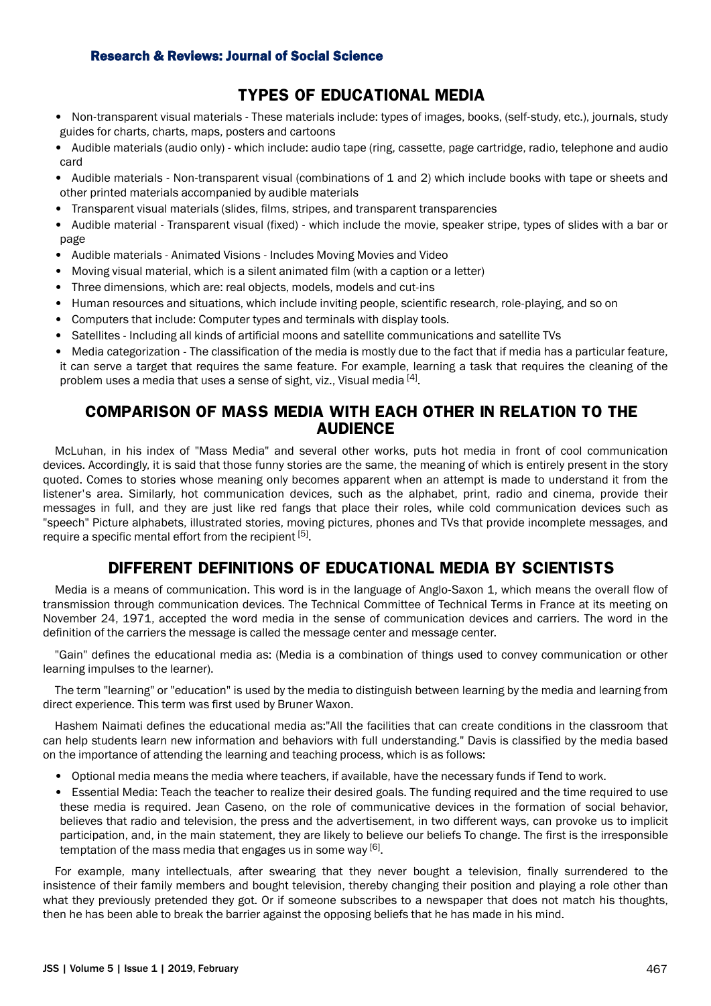# **TYPES OF EDUCATIONAL MEDIA**

- Non-transparent visual materials These materials include: types of images, books, (self-study, etc.), journals, study guides for charts, charts, maps, posters and cartoons
- Audible materials (audio only) which include: audio tape (ring, cassette, page cartridge, radio, telephone and audio card
- Audible materials Non-transparent visual (combinations of 1 and 2) which include books with tape or sheets and other printed materials accompanied by audible materials
- Transparent visual materials (slides, films, stripes, and transparent transparencies
- Audible material Transparent visual (fixed) which include the movie, speaker stripe, types of slides with a bar or page
- Audible materials Animated Visions Includes Moving Movies and Video
- Moving visual material, which is a silent animated film (with a caption or a letter)
- Three dimensions, which are: real objects, models, models and cut-ins
- Human resources and situations, which include inviting people, scientific research, role-playing, and so on
- Computers that include: Computer types and terminals with display tools.
- Satellites Including all kinds of artificial moons and satellite communications and satellite TVs
- Media categorization The classification of the media is mostly due to the fact that if media has a particular feature, it can serve a target that requires the same feature. For example, learning a task that requires the cleaning of the problem uses a media that uses a sense of sight, viz., Visual media [4].

## **COMPARISON OF MASS MEDIA WITH EACH OTHER IN RELATION TO THE AUDIENCE**

McLuhan, in his index of "Mass Media" and several other works, puts hot media in front of cool communication devices. Accordingly, it is said that those funny stories are the same, the meaning of which is entirely present in the story quoted. Comes to stories whose meaning only becomes apparent when an attempt is made to understand it from the listener's area. Similarly, hot communication devices, such as the alphabet, print, radio and cinema, provide their messages in full, and they are just like red fangs that place their roles, while cold communication devices such as "speech" Picture alphabets, illustrated stories, moving pictures, phones and TVs that provide incomplete messages, and require a specific mental effort from the recipient [5].

# **DIFFERENT DEFINITIONS OF EDUCATIONAL MEDIA BY SCIENTISTS**

Media is a means of communication. This word is in the language of Anglo-Saxon 1, which means the overall flow of transmission through communication devices. The Technical Committee of Technical Terms in France at its meeting on November 24, 1971, accepted the word media in the sense of communication devices and carriers. The word in the definition of the carriers the message is called the message center and message center.

"Gain" defines the educational media as: (Media is a combination of things used to convey communication or other learning impulses to the learner).

The term "learning" or "education" is used by the media to distinguish between learning by the media and learning from direct experience. This term was first used by Bruner Waxon.

Hashem Naimati defines the educational media as:"All the facilities that can create conditions in the classroom that can help students learn new information and behaviors with full understanding." Davis is classified by the media based on the importance of attending the learning and teaching process, which is as follows:

- Optional media means the media where teachers, if available, have the necessary funds if Tend to work.
- Essential Media: Teach the teacher to realize their desired goals. The funding required and the time required to use these media is required. Jean Caseno, on the role of communicative devices in the formation of social behavior, believes that radio and television, the press and the advertisement, in two different ways, can provoke us to implicit participation, and, in the main statement, they are likely to believe our beliefs To change. The first is the irresponsible temptation of the mass media that engages us in some way  $^{[6]}$ .

For example, many intellectuals, after swearing that they never bought a television, finally surrendered to the insistence of their family members and bought television, thereby changing their position and playing a role other than what they previously pretended they got. Or if someone subscribes to a newspaper that does not match his thoughts, then he has been able to break the barrier against the opposing beliefs that he has made in his mind.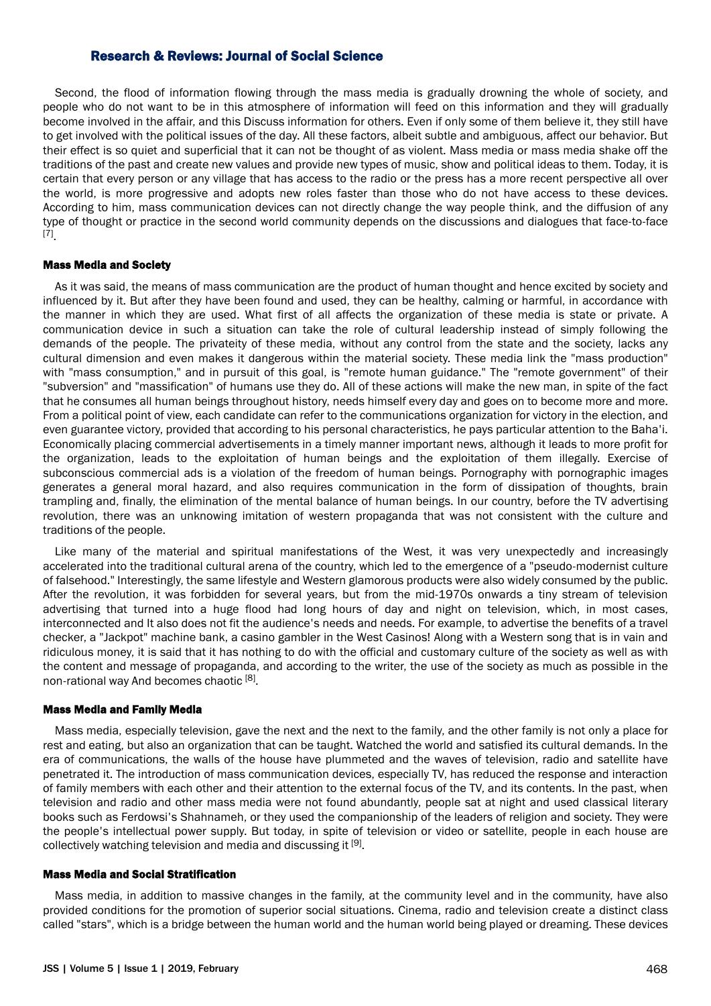Second, the flood of information flowing through the mass media is gradually drowning the whole of society, and people who do not want to be in this atmosphere of information will feed on this information and they will gradually become involved in the affair, and this Discuss information for others. Even if only some of them believe it, they still have to get involved with the political issues of the day. All these factors, albeit subtle and ambiguous, affect our behavior. But their effect is so quiet and superficial that it can not be thought of as violent. Mass media or mass media shake off the traditions of the past and create new values and provide new types of music, show and political ideas to them. Today, it is certain that every person or any village that has access to the radio or the press has a more recent perspective all over the world, is more progressive and adopts new roles faster than those who do not have access to these devices. According to him, mass communication devices can not directly change the way people think, and the diffusion of any type of thought or practice in the second world community depends on the discussions and dialogues that face-to-face [7] .

#### Mass Media and Society

As it was said, the means of mass communication are the product of human thought and hence excited by society and influenced by it. But after they have been found and used, they can be healthy, calming or harmful, in accordance with the manner in which they are used. What first of all affects the organization of these media is state or private. A communication device in such a situation can take the role of cultural leadership instead of simply following the demands of the people. The privateity of these media, without any control from the state and the society, lacks any cultural dimension and even makes it dangerous within the material society. These media link the "mass production" with "mass consumption," and in pursuit of this goal, is "remote human guidance." The "remote government" of their "subversion" and "massification" of humans use they do. All of these actions will make the new man, in spite of the fact that he consumes all human beings throughout history, needs himself every day and goes on to become more and more. From a political point of view, each candidate can refer to the communications organization for victory in the election, and even guarantee victory, provided that according to his personal characteristics, he pays particular attention to the Baha'i. Economically placing commercial advertisements in a timely manner important news, although it leads to more profit for the organization, leads to the exploitation of human beings and the exploitation of them illegally. Exercise of subconscious commercial ads is a violation of the freedom of human beings. Pornography with pornographic images generates a general moral hazard, and also requires communication in the form of dissipation of thoughts, brain trampling and, finally, the elimination of the mental balance of human beings. In our country, before the TV advertising revolution, there was an unknowing imitation of western propaganda that was not consistent with the culture and traditions of the people.

Like many of the material and spiritual manifestations of the West, it was very unexpectedly and increasingly accelerated into the traditional cultural arena of the country, which led to the emergence of a "pseudo-modernist culture of falsehood." Interestingly, the same lifestyle and Western glamorous products were also widely consumed by the public. After the revolution, it was forbidden for several years, but from the mid-1970s onwards a tiny stream of television advertising that turned into a huge flood had long hours of day and night on television, which, in most cases, interconnected and It also does not fit the audience's needs and needs. For example, to advertise the benefits of a travel checker, a "Jackpot" machine bank, a casino gambler in the West Casinos! Along with a Western song that is in vain and ridiculous money, it is said that it has nothing to do with the official and customary culture of the society as well as with the content and message of propaganda, and according to the writer, the use of the society as much as possible in the non-rational way And becomes chaotic [8].

#### Mass Media and Family Media

Mass media, especially television, gave the next and the next to the family, and the other family is not only a place for rest and eating, but also an organization that can be taught. Watched the world and satisfied its cultural demands. In the era of communications, the walls of the house have plummeted and the waves of television, radio and satellite have penetrated it. The introduction of mass communication devices, especially TV, has reduced the response and interaction of family members with each other and their attention to the external focus of the TV, and its contents. In the past, when television and radio and other mass media were not found abundantly, people sat at night and used classical literary books such as Ferdowsi's Shahnameh, or they used the companionship of the leaders of religion and society. They were the people's intellectual power supply. But today, in spite of television or video or satellite, people in each house are collectively watching television and media and discussing it [9].

#### Mass Media and Social Stratification

Mass media, in addition to massive changes in the family, at the community level and in the community, have also provided conditions for the promotion of superior social situations. Cinema, radio and television create a distinct class called "stars", which is a bridge between the human world and the human world being played or dreaming. These devices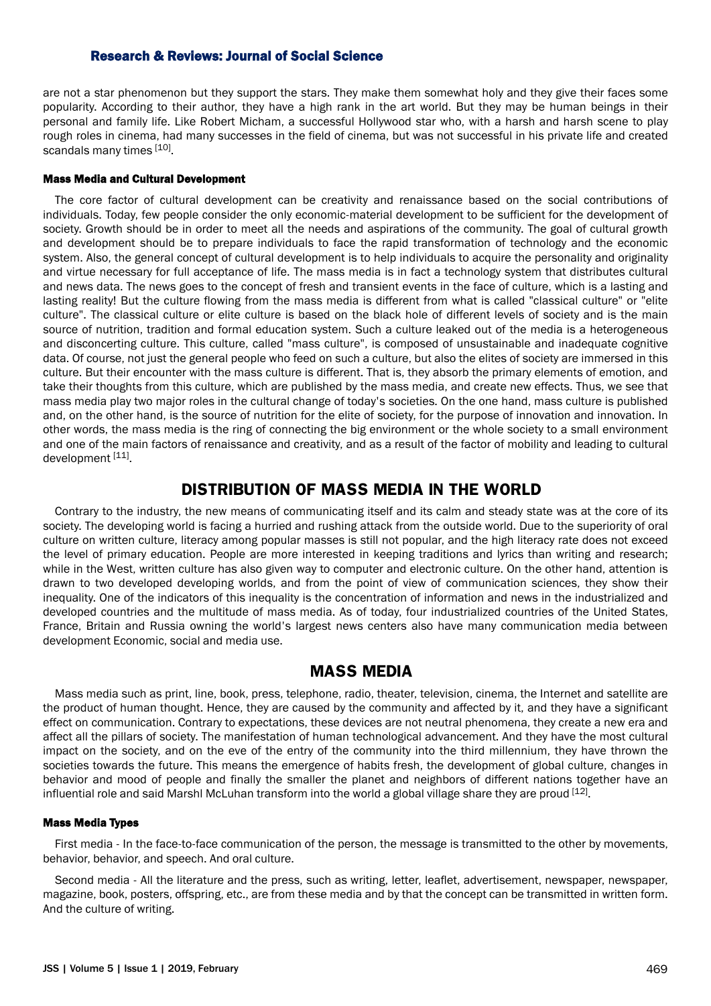are not a star phenomenon but they support the stars. They make them somewhat holy and they give their faces some popularity. According to their author, they have a high rank in the art world. But they may be human beings in their personal and family life. Like Robert Micham, a successful Hollywood star who, with a harsh and harsh scene to play rough roles in cinema, had many successes in the field of cinema, but was not successful in his private life and created scandals many times [10].

#### Mass Media and Cultural Development

The core factor of cultural development can be creativity and renaissance based on the social contributions of individuals. Today, few people consider the only economic-material development to be sufficient for the development of society. Growth should be in order to meet all the needs and aspirations of the community. The goal of cultural growth and development should be to prepare individuals to face the rapid transformation of technology and the economic system. Also, the general concept of cultural development is to help individuals to acquire the personality and originality and virtue necessary for full acceptance of life. The mass media is in fact a technology system that distributes cultural and news data. The news goes to the concept of fresh and transient events in the face of culture, which is a lasting and lasting reality! But the culture flowing from the mass media is different from what is called "classical culture" or "elite culture". The classical culture or elite culture is based on the black hole of different levels of society and is the main source of nutrition, tradition and formal education system. Such a culture leaked out of the media is a heterogeneous and disconcerting culture. This culture, called "mass culture", is composed of unsustainable and inadequate cognitive data. Of course, not just the general people who feed on such a culture, but also the elites of society are immersed in this culture. But their encounter with the mass culture is different. That is, they absorb the primary elements of emotion, and take their thoughts from this culture, which are published by the mass media, and create new effects. Thus, we see that mass media play two major roles in the cultural change of today's societies. On the one hand, mass culture is published and, on the other hand, is the source of nutrition for the elite of society, for the purpose of innovation and innovation. In other words, the mass media is the ring of connecting the big environment or the whole society to a small environment and one of the main factors of renaissance and creativity, and as a result of the factor of mobility and leading to cultural development [11]

## **DISTRIBUTION OF MASS MEDIA IN THE WORLD**

Contrary to the industry, the new means of communicating itself and its calm and steady state was at the core of its society. The developing world is facing a hurried and rushing attack from the outside world. Due to the superiority of oral culture on written culture, literacy among popular masses is still not popular, and the high literacy rate does not exceed the level of primary education. People are more interested in keeping traditions and lyrics than writing and research; while in the West, written culture has also given way to computer and electronic culture. On the other hand, attention is drawn to two developed developing worlds, and from the point of view of communication sciences, they show their inequality. One of the indicators of this inequality is the concentration of information and news in the industrialized and developed countries and the multitude of mass media. As of today, four industrialized countries of the United States, France, Britain and Russia owning the world's largest news centers also have many communication media between development Economic, social and media use.

### **MASS MEDIA**

Mass media such as print, line, book, press, telephone, radio, theater, television, cinema, the Internet and satellite are the product of human thought. Hence, they are caused by the community and affected by it, and they have a significant effect on communication. Contrary to expectations, these devices are not neutral phenomena, they create a new era and affect all the pillars of society. The manifestation of human technological advancement. And they have the most cultural impact on the society, and on the eve of the entry of the community into the third millennium, they have thrown the societies towards the future. This means the emergence of habits fresh, the development of global culture, changes in behavior and mood of people and finally the smaller the planet and neighbors of different nations together have an influential role and said Marshl McLuhan transform into the world a global village share they are proud  $^{[12]}$ .

#### Mass Media Types

First media - In the face-to-face communication of the person, the message is transmitted to the other by movements, behavior, behavior, and speech. And oral culture.

Second media - All the literature and the press, such as writing, letter, leaflet, advertisement, newspaper, newspaper, magazine, book, posters, offspring, etc., are from these media and by that the concept can be transmitted in written form. And the culture of writing.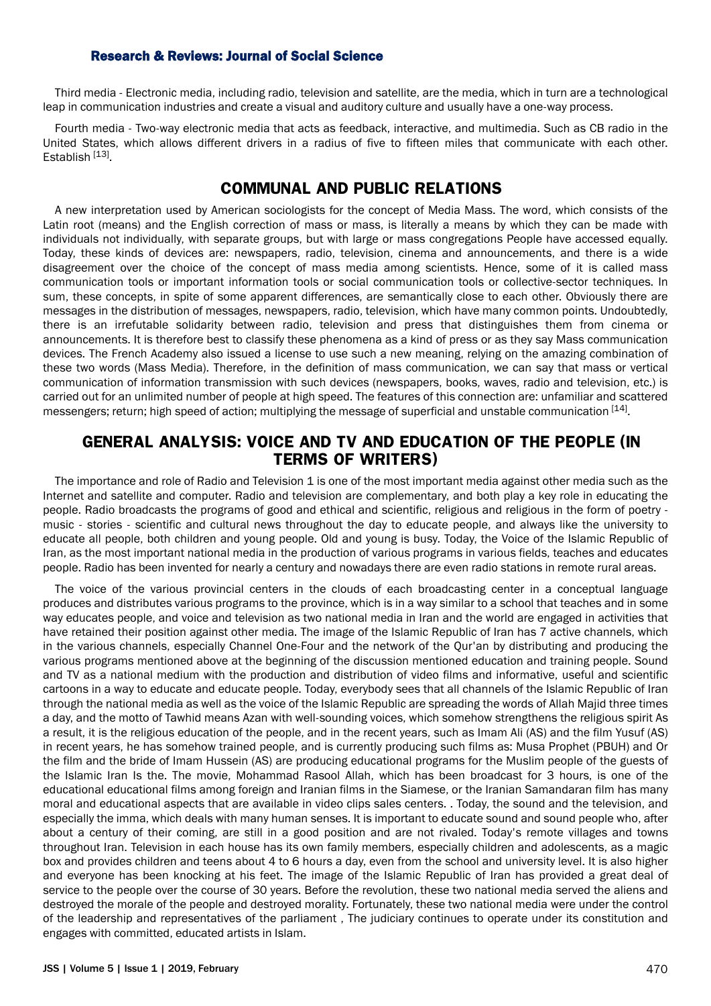Third media - Electronic media, including radio, television and satellite, are the media, which in turn are a technological leap in communication industries and create a visual and auditory culture and usually have a one-way process.

Fourth media - Two-way electronic media that acts as feedback, interactive, and multimedia. Such as CB radio in the United States, which allows different drivers in a radius of five to fifteen miles that communicate with each other. Establish<sup>[13]</sup>.

## **COMMUNAL AND PUBLIC RELATIONS**

A new interpretation used by American sociologists for the concept of Media Mass. The word, which consists of the Latin root (means) and the English correction of mass or mass, is literally a means by which they can be made with individuals not individually, with separate groups, but with large or mass congregations People have accessed equally. Today, these kinds of devices are: newspapers, radio, television, cinema and announcements, and there is a wide disagreement over the choice of the concept of mass media among scientists. Hence, some of it is called mass communication tools or important information tools or social communication tools or collective-sector techniques. In sum, these concepts, in spite of some apparent differences, are semantically close to each other. Obviously there are messages in the distribution of messages, newspapers, radio, television, which have many common points. Undoubtedly, there is an irrefutable solidarity between radio, television and press that distinguishes them from cinema or announcements. It is therefore best to classify these phenomena as a kind of press or as they say Mass communication devices. The French Academy also issued a license to use such a new meaning, relying on the amazing combination of these two words (Mass Media). Therefore, in the definition of mass communication, we can say that mass or vertical communication of information transmission with such devices (newspapers, books, waves, radio and television, etc.) is carried out for an unlimited number of people at high speed. The features of this connection are: unfamiliar and scattered messengers; return; high speed of action; multiplying the message of superficial and unstable communication [14].

## **GENERAL ANALYSIS: VOICE AND TV AND EDUCATION OF THE PEOPLE (IN TERMS OF WRITERS)**

The importance and role of Radio and Television 1 is one of the most important media against other media such as the Internet and satellite and computer. Radio and television are complementary, and both play a key role in educating the people. Radio broadcasts the programs of good and ethical and scientific, religious and religious in the form of poetry music - stories - scientific and cultural news throughout the day to educate people, and always like the university to educate all people, both children and young people. Old and young is busy. Today, the Voice of the Islamic Republic of Iran, as the most important national media in the production of various programs in various fields, teaches and educates people. Radio has been invented for nearly a century and nowadays there are even radio stations in remote rural areas.

The voice of the various provincial centers in the clouds of each broadcasting center in a conceptual language produces and distributes various programs to the province, which is in a way similar to a school that teaches and in some way educates people, and voice and television as two national media in Iran and the world are engaged in activities that have retained their position against other media. The image of the Islamic Republic of Iran has 7 active channels, which in the various channels, especially Channel One-Four and the network of the Qur'an by distributing and producing the various programs mentioned above at the beginning of the discussion mentioned education and training people. Sound and TV as a national medium with the production and distribution of video films and informative, useful and scientific cartoons in a way to educate and educate people. Today, everybody sees that all channels of the Islamic Republic of Iran through the national media as well as the voice of the Islamic Republic are spreading the words of Allah Majid three times a day, and the motto of Tawhid means Azan with well-sounding voices, which somehow strengthens the religious spirit As a result, it is the religious education of the people, and in the recent years, such as Imam Ali (AS) and the film Yusuf (AS) in recent years, he has somehow trained people, and is currently producing such films as: Musa Prophet (PBUH) and Or the film and the bride of Imam Hussein (AS) are producing educational programs for the Muslim people of the guests of the Islamic Iran Is the. The movie, Mohammad Rasool Allah, which has been broadcast for 3 hours, is one of the educational educational films among foreign and Iranian films in the Siamese, or the Iranian Samandaran film has many moral and educational aspects that are available in video clips sales centers. . Today, the sound and the television, and especially the imma, which deals with many human senses. It is important to educate sound and sound people who, after about a century of their coming, are still in a good position and are not rivaled. Today's remote villages and towns throughout Iran. Television in each house has its own family members, especially children and adolescents, as a magic box and provides children and teens about 4 to 6 hours a day, even from the school and university level. It is also higher and everyone has been knocking at his feet. The image of the Islamic Republic of Iran has provided a great deal of service to the people over the course of 30 years. Before the revolution, these two national media served the aliens and destroyed the morale of the people and destroyed morality. Fortunately, these two national media were under the control of the leadership and representatives of the parliament , The judiciary continues to operate under its constitution and engages with committed, educated artists in Islam.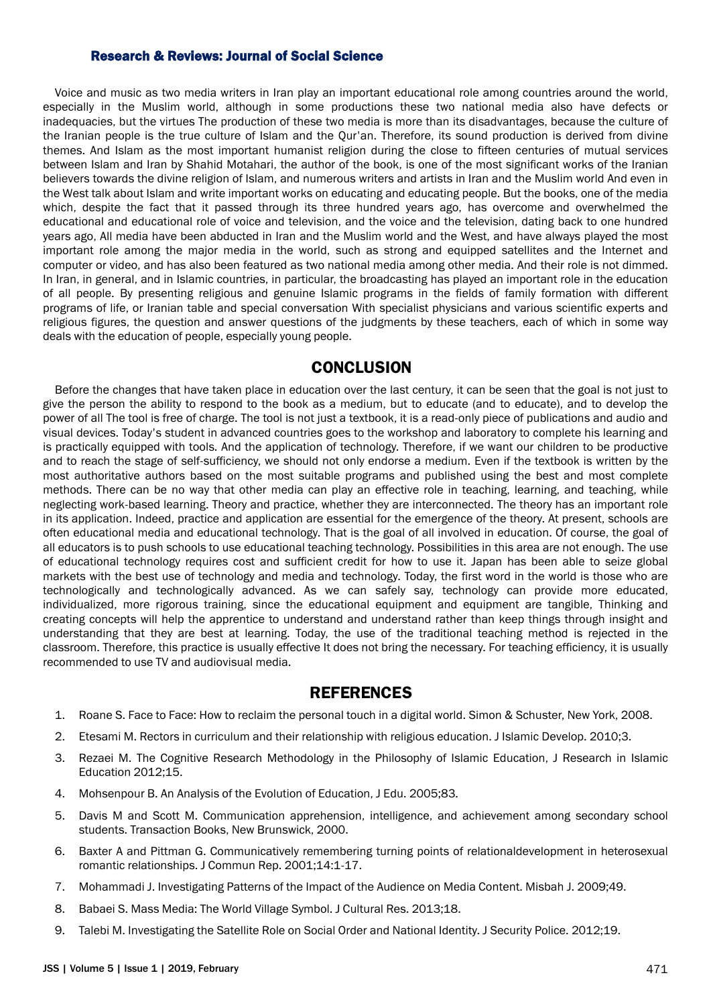Voice and music as two media writers in Iran play an important educational role among countries around the world, especially in the Muslim world, although in some productions these two national media also have defects or inadequacies, but the virtues The production of these two media is more than its disadvantages, because the culture of the Iranian people is the true culture of Islam and the Qur'an. Therefore, its sound production is derived from divine themes. And Islam as the most important humanist religion during the close to fifteen centuries of mutual services between Islam and Iran by Shahid Motahari, the author of the book, is one of the most significant works of the Iranian believers towards the divine religion of Islam, and numerous writers and artists in Iran and the Muslim world And even in the West talk about Islam and write important works on educating and educating people. But the books, one of the media which, despite the fact that it passed through its three hundred years ago, has overcome and overwhelmed the educational and educational role of voice and television, and the voice and the television, dating back to one hundred years ago, All media have been abducted in Iran and the Muslim world and the West, and have always played the most important role among the major media in the world, such as strong and equipped satellites and the Internet and computer or video, and has also been featured as two national media among other media. And their role is not dimmed. In Iran, in general, and in Islamic countries, in particular, the broadcasting has played an important role in the education of all people. By presenting religious and genuine Islamic programs in the fields of family formation with different programs of life, or Iranian table and special conversation With specialist physicians and various scientific experts and religious figures, the question and answer questions of the judgments by these teachers, each of which in some way deals with the education of people, especially young people.

### **CONCLUSION**

Before the changes that have taken place in education over the last century, it can be seen that the goal is not just to give the person the ability to respond to the book as a medium, but to educate (and to educate), and to develop the power of all The tool is free of charge. The tool is not just a textbook, it is a read-only piece of publications and audio and visual devices. Today's student in advanced countries goes to the workshop and laboratory to complete his learning and is practically equipped with tools. And the application of technology. Therefore, if we want our children to be productive and to reach the stage of self-sufficiency, we should not only endorse a medium. Even if the textbook is written by the most authoritative authors based on the most suitable programs and published using the best and most complete methods. There can be no way that other media can play an effective role in teaching, learning, and teaching, while neglecting work-based learning. Theory and practice, whether they are interconnected. The theory has an important role in its application. Indeed, practice and application are essential for the emergence of the theory. At present, schools are often educational media and educational technology. That is the goal of all involved in education. Of course, the goal of all educators is to push schools to use educational teaching technology. Possibilities in this area are not enough. The use of educational technology requires cost and sufficient credit for how to use it. Japan has been able to seize global markets with the best use of technology and media and technology. Today, the first word in the world is those who are technologically and technologically advanced. As we can safely say, technology can provide more educated, individualized, more rigorous training, since the educational equipment and equipment are tangible, Thinking and creating concepts will help the apprentice to understand and understand rather than keep things through insight and understanding that they are best at learning. Today, the use of the traditional teaching method is rejected in the classroom. Therefore, this practice is usually effective It does not bring the necessary. For teaching efficiency, it is usually recommended to use TV and audiovisual media.

### **REFERENCES**

- 1. Roane S. Face to Face: How to reclaim the personal touch in a digital world. Simon & Schuster, New York, 2008.
- 2. Etesami M. Rectors in curriculum and their relationship with religious education. J Islamic Develop. 2010;3.
- 3. Rezaei M. The Cognitive Research Methodology in the Philosophy of Islamic Education, J Research in Islamic Education 2012;15.
- 4. Mohsenpour B. An Analysis of the Evolution of Education, J Edu. 2005;83.
- 5. Davis M and Scott M. Communication apprehension, intelligence, and achievement among secondary school students. Transaction Books, New Brunswick, 2000.
- 6. Baxter A and Pittman G. Communicatively remembering turning points of relationaldevelopment in heterosexual romantic relationships. J Commun Rep. 2001;14:1-17.
- 7. Mohammadi J. Investigating Patterns of the Impact of the Audience on Media Content. Misbah J. 2009;49.
- 8. Babaei S. Mass Media: The World Village Symbol. J Cultural Res. 2013;18.
- 9. Talebi M. Investigating the Satellite Role on Social Order and National Identity. J Security Police. 2012;19.